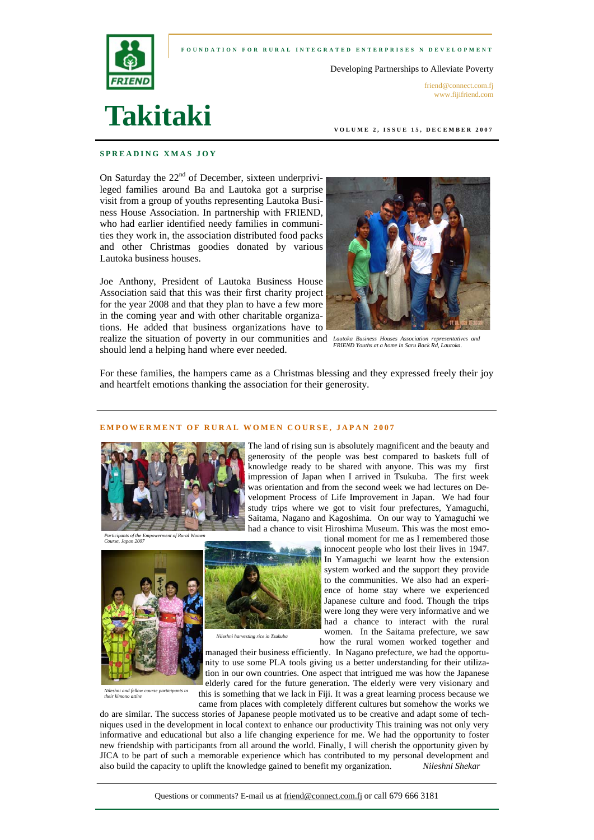



Developing Partnerships to Alleviate Poverty

friend@connect.com.fi www.fijifriend.com

# **Takitaki**

**VOLUME 2, ISSUE 15, DECEMBER 2007** 

# **SPREADING XMAS JOY**

On Saturday the  $22<sup>nd</sup>$  of December, sixteen underprivileged families around Ba and Lautoka got a surprise visit from a group of youths representing Lautoka Business House Association. In partnership with FRIEND, who had earlier identified needy families in communities they work in, the association distributed food packs and other Christmas goodies donated by various Lautoka business houses.

Joe Anthony, President of Lautoka Business House Association said that this was their first charity project for the year 2008 and that they plan to have a few more in the coming year and with other charitable organizations. He added that business organizations have to realize the situation of poverty in our communities and *Lautoka Business Houses Association representatives and* 

should lend a helping hand where ever needed.



*FRIEND Youths at a home in Saru Back Rd, Lautoka*.

For these families, the hampers came as a Christmas blessing and they expressed freely their joy and heartfelt emotions thanking the association for their generosity.

## **EMPOWERMENT OF RURAL WOMEN COURSE, JAPAN 2007**

*Nileshni harvesting rice in Tsukuba* 



*Participants of the Empowerment of Rural Women Course, Japan 2007* 



The land of rising sun is absolutely magnificent and the beauty and generosity of the people was best compared to baskets full of knowledge ready to be shared with anyone. This was my first impression of Japan when I arrived in Tsukuba. The first week was orientation and from the second week we had lectures on Development Process of Life Improvement in Japan. We had four study trips where we got to visit four prefectures, Yamaguchi, Saitama, Nagano and Kagoshima. On our way to Yamaguchi we had a chance to visit Hiroshima Museum. This was the most emo-

tional moment for me as I remembered those innocent people who lost their lives in 1947. In Yamaguchi we learnt how the extension system worked and the support they provide to the communities. We also had an experience of home stay where we experienced Japanese culture and food. Though the trips were long they were very informative and we had a chance to interact with the rural women. In the Saitama prefecture, we saw how the rural women worked together and

*Nileshni and fellow course participants in their kimono attire* 

managed their business efficiently. In Nagano prefecture, we had the opportunity to use some PLA tools giving us a better understanding for their utilization in our own countries. One aspect that intrigued me was how the Japanese elderly cared for the future generation. The elderly were very visionary and this is something that we lack in Fiji. It was a great learning process because we

came from places with completely different cultures but somehow the works we do are similar. The success stories of Japanese people motivated us to be creative and adapt some of techniques used in the development in local context to enhance our productivity This training was not only very informative and educational but also a life changing experience for me. We had the opportunity to foster new friendship with participants from all around the world. Finally, I will cherish the opportunity given by JICA to be part of such a memorable experience which has contributed to my personal development and also build the capacity to uplift the knowledge gained to benefit my organization. *Nileshni Shekar*